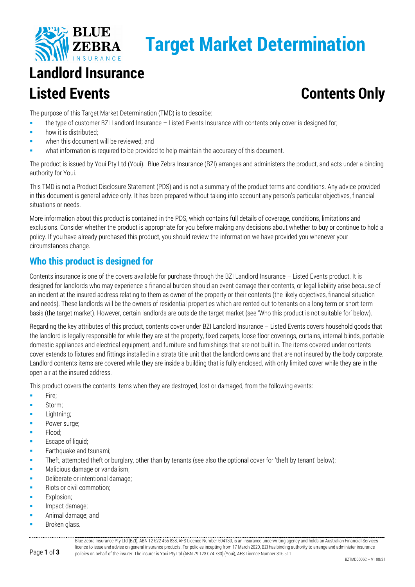

# **Target Market Determination**

# **Landlord Insurance Listed Events Contents Only**

The purpose of this Target Market Determination (TMD) is to describe:

- the type of customer BZI Landlord Insurance Listed Events Insurance with contents only cover is designed for;
- **how it is distributed:**
- when this document will be reviewed; and
- what information is required to be provided to help maintain the accuracy of this document.

The product is issued by Youi Pty Ltd (Youi). Blue Zebra Insurance (BZI) arranges and administers the product, and acts under a binding authority for Youi.

This TMD is not a Product Disclosure Statement (PDS) and is not a summary of the product terms and conditions. Any advice provided in this document is general advice only. It has been prepared without taking into account any person's particular objectives, financial situations or needs.

More information about this product is contained in the PDS, which contains full details of coverage, conditions, limitations and exclusions. Consider whether the product is appropriate for you before making any decisions about whether to buy or continue to hold a policy. If you have already purchased this product, you should review the information we have provided you whenever your circumstances change.

### **Who this product is designed for**

Contents insurance is one of the covers available for purchase through the BZI Landlord Insurance – Listed Events product. It is designed for landlords who may experience a financial burden should an event damage their contents, or legal liability arise because of an incident at the insured address relating to them as owner of the property or their contents (the likely objectives, financial situation and needs). These landlords will be the owners of residential properties which are rented out to tenants on a long term or short term basis (the target market). However, certain landlords are outside the target market (see 'Who this product is not suitable for' below).

Regarding the key attributes of this product, contents cover under BZI Landlord Insurance – Listed Events covers household goods that the landlord is legally responsible for while they are at the property, fixed carpets, loose floor coverings, curtains, internal blinds, portable domestic appliances and electrical equipment, and furniture and furnishings that are not built in. The items covered under contents cover extends to fixtures and fittings installed in a strata title unit that the landlord owns and that are not insured by the body corporate. Landlord contents items are covered while they are inside a building that is fully enclosed, with only limited cover while they are in the open air at the insured address.

This product covers the contents items when they are destroyed, lost or damaged, from the following events:

- $Fire:$
- Storm;
- **Lightning**;
- Power surge;
- Flood;
- **Escape of liquid;**
- Earthquake and tsunami;
- Theft, attempted theft or burglary, other than by tenants (see also the optional cover for 'theft by tenant' below);
- Malicious damage or vandalism;
- Deliberate or intentional damage;
- Riots or civil commotion;
- Explosion;
- **Impact damage;**
- Animal damage; and
- Broken glass.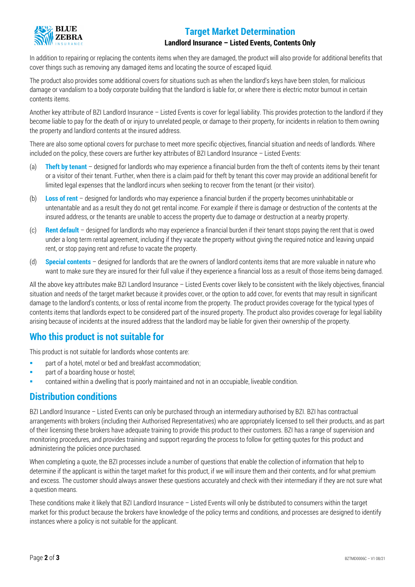

## **Target Market Determination**

#### **Landlord Insurance – Listed Events, Contents Only**

In addition to repairing or replacing the contents items when they are damaged, the product will also provide for additional benefits that cover things such as removing any damaged items and locating the source of escaped liquid.

The product also provides some additional covers for situations such as when the landlord's keys have been stolen, for malicious damage or vandalism to a body corporate building that the landlord is liable for, or where there is electric motor burnout in certain contents items.

Another key attribute of BZI Landlord Insurance – Listed Events is cover for legal liability. This provides protection to the landlord if they become liable to pay for the death of or injury to unrelated people, or damage to their property, for incidents in relation to them owning the property and landlord contents at the insured address.

There are also some optional covers for purchase to meet more specific objectives, financial situation and needs of landlords. Where included on the policy, these covers are further key attributes of BZI Landlord Insurance – Listed Events:

- (a) **Theft by tenant** designed for landlords who may experience a financial burden from the theft of contents items by their tenant or a visitor of their tenant. Further, when there is a claim paid for theft by tenant this cover may provide an additional benefit for limited legal expenses that the landlord incurs when seeking to recover from the tenant (or their visitor).
- (b) **Loss of rent** designed for landlords who may experience a financial burden if the property becomes uninhabitable or untenantable and as a result they do not get rental income. For example if there is damage or destruction of the contents at the insured address, or the tenants are unable to access the property due to damage or destruction at a nearby property.
- (c) **Rent default** designed for landlords who may experience a financial burden if their tenant stops paying the rent that is owed under a long term rental agreement, including if they vacate the property without giving the required notice and leaving unpaid rent, or stop paying rent and refuse to vacate the property.
- (d) **Special contents** designed for landlords that are the owners of landlord contents items that are more valuable in nature who want to make sure they are insured for their full value if they experience a financial loss as a result of those items being damaged.

All the above key attributes make BZI Landlord Insurance – Listed Events cover likely to be consistent with the likely objectives, financial situation and needs of the target market because it provides cover, or the option to add cover, for events that may result in significant damage to the landlord's contents, or loss of rental income from the property. The product provides coverage for the typical types of contents items that landlords expect to be considered part of the insured property. The product also provides coverage for legal liability arising because of incidents at the insured address that the landlord may be liable for given their ownership of the property.

#### **Who this product is not suitable for**

This product is not suitable for landlords whose contents are:

- **Part of a hotel, motel or bed and breakfast accommodation:**
- **part of a boarding house or hostel;**
- contained within a dwelling that is poorly maintained and not in an occupiable, liveable condition.

#### **Distribution conditions**

BZI Landlord Insurance – Listed Events can only be purchased through an intermediary authorised by BZI. BZI has contractual arrangements with brokers (including their Authorised Representatives) who are appropriately licensed to sell their products, and as part of their licensing these brokers have adequate training to provide this product to their customers. BZI has a range of supervision and monitoring procedures, and provides training and support regarding the process to follow for getting quotes for this product and administering the policies once purchased.

When completing a quote, the BZI processes include a number of questions that enable the collection of information that help to determine if the applicant is within the target market for this product, if we will insure them and their contents, and for what premium and excess. The customer should always answer these questions accurately and check with their intermediary if they are not sure what a question means.

These conditions make it likely that BZI Landlord Insurance – Listed Events will only be distributed to consumers within the target market for this product because the brokers have knowledge of the policy terms and conditions, and processes are designed to identify instances where a policy is not suitable for the applicant.